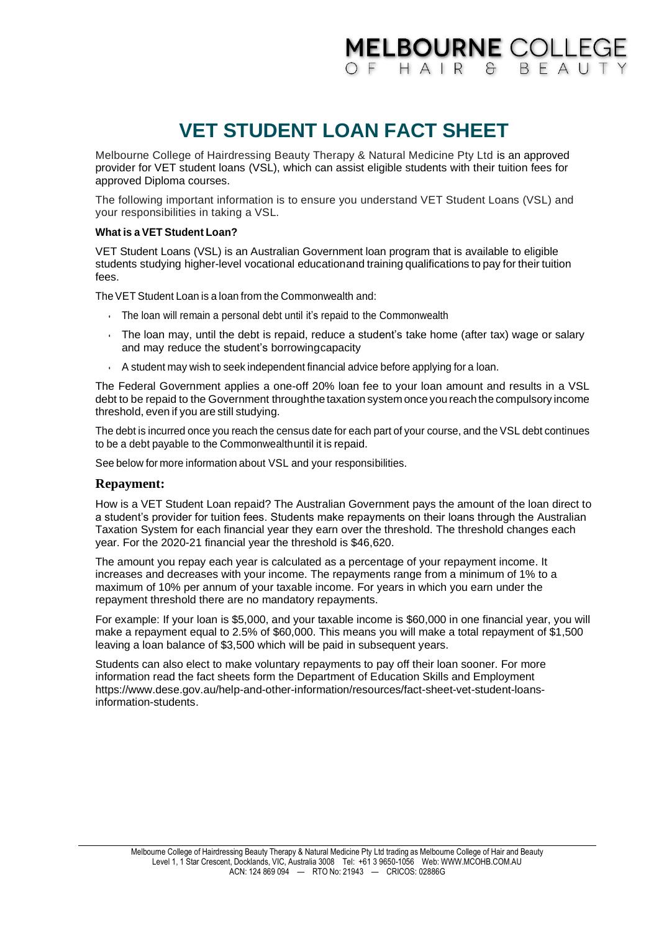## **MELBOURNE COLLEGE** OF HAIR & BFAUT

# **VET STUDENT LOAN FACT SHEET**

Melbourne College of Hairdressing Beauty Therapy & Natural Medicine Pty Ltd is an approved provider for VET student loans (VSL), which can assist eligible students with their tuition fees for approved Diploma courses.

The following important information is to ensure you understand VET Student Loans (VSL) and your responsibilities in taking a VSL.

#### **What is a VET Student Loan?**

VET Student Loans (VSL) is an Australian Government loan program that is available to eligible students studying higher-level vocational educationand training qualifications to pay for their tuition fees.

The VET Student Loan is a loan from the Commonwealth and:

- The loan will remain a personal debt until it's repaid to the Commonwealth
- The loan may, until the debt is repaid, reduce a student's take home (after tax) wage or salary and may reduce the student's borrowingcapacity
- $\cdot$  A student may wish to seek independent financial advice before applying for a loan.

The Federal Government applies a one-off 20% loan fee to your loan amount and results in a VSL debt to be repaid to the Government through the taxation system once you reach the compulsory income threshold, even if you are still studying.

The debtis incurred once you reach the census date for each part of your course, and the VSL debt continues to be a debt payable to the Commonwealthuntil it is repaid.

See below for more information about VSL and your responsibilities.

### **Repayment:**

How is a VET Student Loan repaid? The Australian Government pays the amount of the loan direct to a student's provider for tuition fees. Students make repayments on their loans through the Australian Taxation System for each financial year they earn over the threshold. The threshold changes each year. For the 2020-21 financial year the threshold is \$46,620.

The amount you repay each year is calculated as a percentage of your repayment income. It increases and decreases with your income. The repayments range from a minimum of 1% to a maximum of 10% per annum of your taxable income. For years in which you earn under the repayment threshold there are no mandatory repayments.

For example: If your loan is \$5,000, and your taxable income is \$60,000 in one financial year, you will make a repayment equal to 2.5% of \$60,000. This means you will make a total repayment of \$1,500 leaving a loan balance of \$3,500 which will be paid in subsequent years.

Students can also elect to make voluntary repayments to pay off their loan sooner. For more information read the fact sheets form the Department of Education Skills and Employment https://www.dese.gov.au/help-and-other-information/resources/fact-sheet-vet-student-loansinformation-students.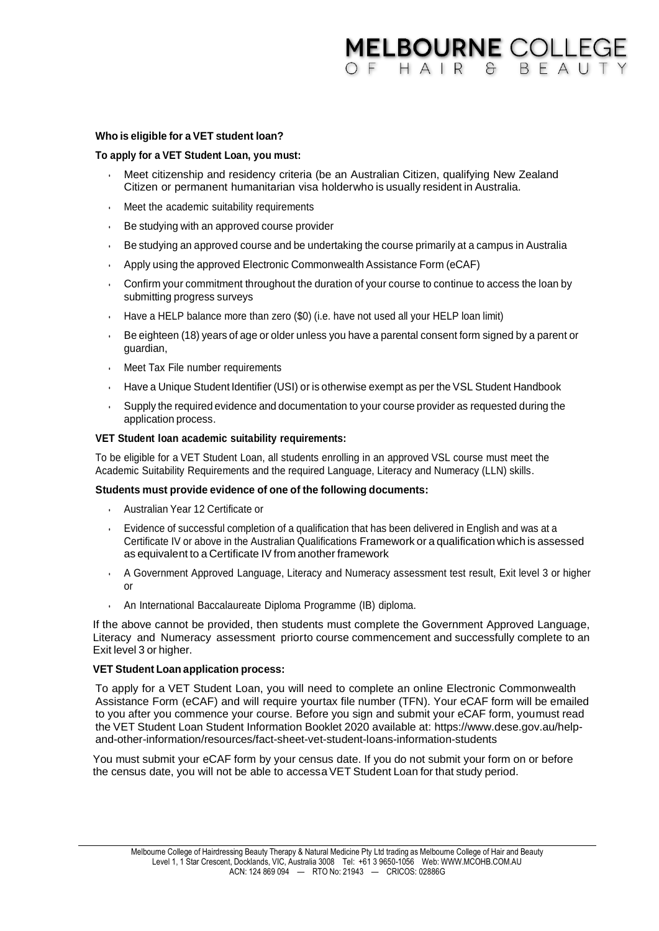### **MELBOURNE COLLEGE** OF HAIR & BFAUT

#### **Who is eligible for a VET student loan?**

#### **To apply for a VET Student Loan, you must:**

- Meet citizenship and residency criteria (be an Australian Citizen, qualifying New Zealand Citizen or permanent humanitarian visa holderwho is usually resident in Australia.
- Meet the academic suitability requirements
- Be studying with an approved course provider
- Bestudying an approved course and be undertaking the course primarily at a campus in Australia
- Apply using the approved Electronic Commonwealth Assistance Form (eCAF)
- Confirm your commitment throughout the duration of your course to continue to access the loan by submitting progress surveys
- Have a HELP balance more than zero (\$0) (i.e. have not used all your HELP loan limit)
- Be eighteen (18) years of age or older unless you have a parental consent form signed by a parent or guardian,
- Meet Tax File number requirements
- $\cdot$  Have a Unique Student Identifier (USI) or is otherwise exempt as per the VSL Student Handbook
- Supply the required evidence and documentation to your course provider as requested during the application process.

#### **VET Student loan academic suitability requirements:**

To be eligible for a VET Student Loan, all students enrolling in an approved VSL course must meet the Academic Suitability Requirements and the required Language, Literacy and Numeracy (LLN) skills.

#### **Students must provide evidence of one of the following documents:**

- Australian Year 12 Certificate or
- Evidence of successful completion of a qualification that has been delivered in English and was at a Certificate IV or above in the Australian Qualifications Frameworkoraqualification whichisassessed as equivalent to a Certificate IV from another framework
- A Government Approved Language, Literacy and Numeracy assessment test result, Exit level 3 or higher or
- An International Baccalaureate Diploma Programme (IB) diploma.

If the above cannot be provided, then students must complete the Government Approved Language, Literacy and Numeracy assessment priorto course commencement and successfully complete to an Exit level 3 or higher.

#### **VET Student Loan application process:**

To apply for a VET Student Loan, you will need to complete an online Electronic Commonwealth Assistance Form (eCAF) and will require yourtax file number (TFN). Your eCAF form will be emailed to you after you commence your course. Before you sign and submit your eCAF form, youmust read the VET Student Loan Student Information Booklet 2020 available at: https://www.dese.gov.au/helpand-other-information/resources/fact-sheet-vet-student-loans-information-students

You must submit your eCAF form by your census date. If you do not submit your form on or before the census date, you will not be able to accessa VET Student Loan for that study period.